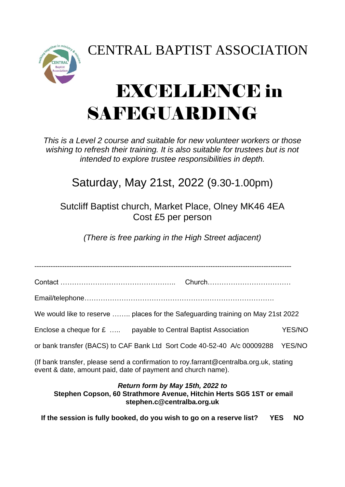CENTRAL BAPTIST ASSOCIATION



## EXCELLENCE in SAFEGUARDING

*This is a Level 2 course and suitable for new volunteer workers or those*  wishing to refresh their training. It is also suitable for trustees but is not *intended to explore trustee responsibilities in depth.*

## Saturday, May 21st, 2022 (9.30-1.00pm)

Sutcliff Baptist church, Market Place, Olney MK46 4EA Cost £5 per person

*(There is free parking in the High Street adjacent)*

---------------------------------------------------------------------------------------------------------------

Contact ………………………………………….. Church………………………………

Email/telephone……………………………………………………………………….

We would like to reserve …….. places for the Safeguarding training on May 21st 2022

Enclose a cheque for £ ..... payable to Central Baptist Association YES/NO

or bank transfer (BACS) to CAF Bank Ltd Sort Code 40-52-40 A/c 00009288 YES/NO

(If bank transfer, please send a confirmation to roy.farrant@centralba.org.uk, stating event & date, amount paid, date of payment and church name).

## *Return form by May 15th, 2022 to*

**Stephen Copson, 60 Strathmore Avenue, Hitchin Herts SG5 1ST or email stephen.c@centralba.org.uk** 

**If the session is fully booked, do you wish to go on a reserve list? YES NO**